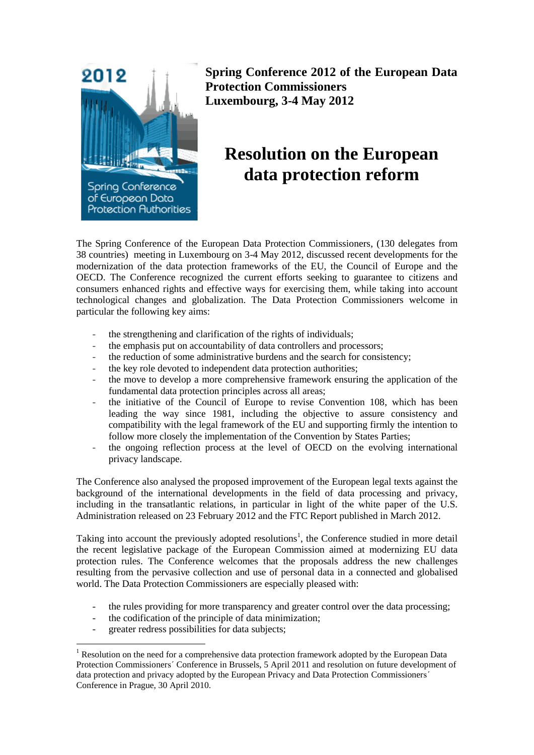

**Spring Conference 2012 of the European Data Protection Commissioners Luxembourg, 3-4 May 2012**

## **Resolution on the European data protection reform**

The Spring Conference of the European Data Protection Commissioners, (130 delegates from 38 countries) meeting in Luxembourg on 3-4 May 2012, discussed recent developments for the modernization of the data protection frameworks of the EU, the Council of Europe and the OECD. The Conference recognized the current efforts seeking to guarantee to citizens and consumers enhanced rights and effective ways for exercising them, while taking into account technological changes and globalization. The Data Protection Commissioners welcome in particular the following key aims:

- the strengthening and clarification of the rights of individuals;
- the emphasis put on accountability of data controllers and processors;
- the reduction of some administrative burdens and the search for consistency;
- the key role devoted to independent data protection authorities;
- the move to develop a more comprehensive framework ensuring the application of the fundamental data protection principles across all areas;
- the initiative of the Council of Europe to revise Convention 108, which has been leading the way since 1981, including the objective to assure consistency and compatibility with the legal framework of the EU and supporting firmly the intention to follow more closely the implementation of the Convention by States Parties;
- the ongoing reflection process at the level of OECD on the evolving international privacy landscape.

The Conference also analysed the proposed improvement of the European legal texts against the background of the international developments in the field of data processing and privacy, including in the transatlantic relations, in particular in light of the white paper of the U.S. Administration released on 23 February 2012 and the FTC Report published in March 2012.

Taking into account the previously adopted resolutions<sup>1</sup>, the Conference studied in more detail the recent legislative package of the European Commission aimed at modernizing EU data protection rules. The Conference welcomes that the proposals address the new challenges resulting from the pervasive collection and use of personal data in a connected and globalised world. The Data Protection Commissioners are especially pleased with:

- the rules providing for more transparency and greater control over the data processing;
- the codification of the principle of data minimization;
- greater redress possibilities for data subjects;

1

<sup>&</sup>lt;sup>1</sup> Resolution on the need for a comprehensive data protection framework adopted by the European Data Protection Commissionersˊ Conference in Brussels, 5 April 2011 and resolution on future development of data protection and privacy adopted by the European Privacy and Data Protection Commissionersˊ Conference in Prague, 30 April 2010.